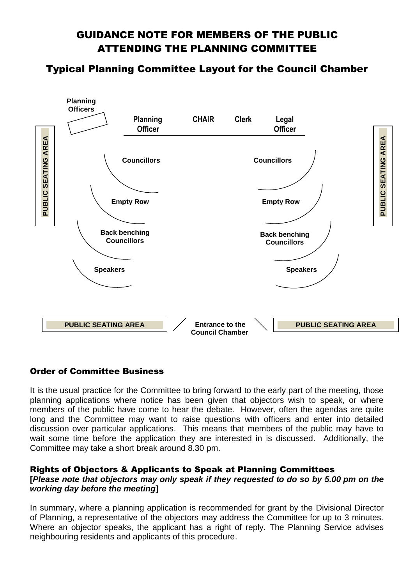# GUIDANCE NOTE FOR MEMBERS OF THE PUBLIC ATTENDING THE PLANNING COMMITTEE

## Typical Planning Committee Layout for the Council Chamber



## Order of Committee Business

It is the usual practice for the Committee to bring forward to the early part of the meeting, those planning applications where notice has been given that objectors wish to speak, or where members of the public have come to hear the debate. However, often the agendas are quite long and the Committee may want to raise questions with officers and enter into detailed discussion over particular applications. This means that members of the public may have to wait some time before the application they are interested in is discussed. Additionally, the Committee may take a short break around 8.30 pm.

## Rights of Objectors & Applicants to Speak at Planning Committees

## **[***Please note that objectors may only speak if they requested to do so by 5.00 pm on the working day before the meeting***]**

In summary, where a planning application is recommended for grant by the Divisional Director of Planning, a representative of the objectors may address the Committee for up to 3 minutes. Where an objector speaks, the applicant has a right of reply. The Planning Service advises neighbouring residents and applicants of this procedure.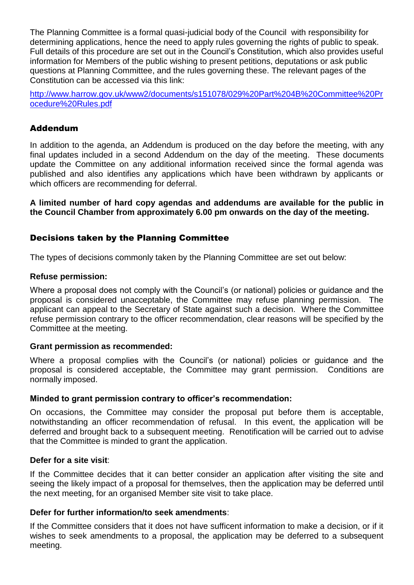The Planning Committee is a formal quasi-judicial body of the Council with responsibility for determining applications, hence the need to apply rules governing the rights of public to speak. Full details of this procedure are set out in the Council's Constitution, which also provides useful information for Members of the public wishing to present petitions, deputations or ask public questions at Planning Committee, and the rules governing these. The relevant pages of the Constitution can be accessed via this link:

[http://www.harrow.gov.uk/www2/documents/s151078/029%20Part%204B%20Committee%20Pr](http://www.harrow.gov.uk/www2/documents/s151078/029%20Part%204B%20Committee%20Procedure%20Rules.pdf) [ocedure%20Rules.pdf](http://www.harrow.gov.uk/www2/documents/s151078/029%20Part%204B%20Committee%20Procedure%20Rules.pdf)

## Addendum

In addition to the agenda, an Addendum is produced on the day before the meeting, with any final updates included in a second Addendum on the day of the meeting. These documents update the Committee on any additional information received since the formal agenda was published and also identifies any applications which have been withdrawn by applicants or which officers are recommending for deferral.

**A limited number of hard copy agendas and addendums are available for the public in the Council Chamber from approximately 6.00 pm onwards on the day of the meeting.**

## Decisions taken by the Planning Committee

The types of decisions commonly taken by the Planning Committee are set out below:

#### **Refuse permission:**

Where a proposal does not comply with the Council's (or national) policies or guidance and the proposal is considered unacceptable, the Committee may refuse planning permission. The applicant can appeal to the Secretary of State against such a decision. Where the Committee refuse permission contrary to the officer recommendation, clear reasons will be specified by the Committee at the meeting.

#### **Grant permission as recommended:**

Where a proposal complies with the Council's (or national) policies or guidance and the proposal is considered acceptable, the Committee may grant permission. Conditions are normally imposed.

#### **Minded to grant permission contrary to officer's recommendation:**

On occasions, the Committee may consider the proposal put before them is acceptable, notwithstanding an officer recommendation of refusal. In this event, the application will be deferred and brought back to a subsequent meeting. Renotification will be carried out to advise that the Committee is minded to grant the application.

#### **Defer for a site visit**:

If the Committee decides that it can better consider an application after visiting the site and seeing the likely impact of a proposal for themselves, then the application may be deferred until the next meeting, for an organised Member site visit to take place.

#### **Defer for further information/to seek amendments**:

If the Committee considers that it does not have sufficent information to make a decision, or if it wishes to seek amendments to a proposal, the application may be deferred to a subsequent meeting.